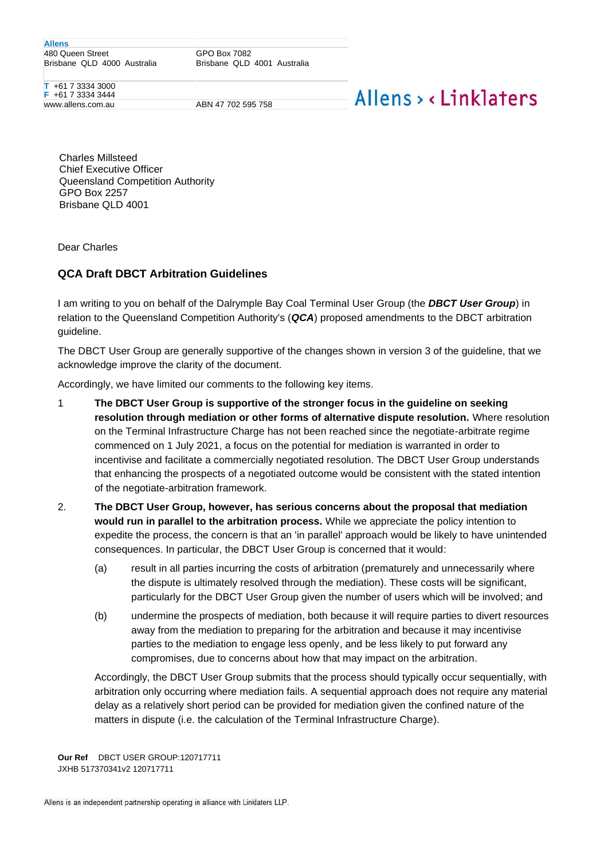**Allens** 480 Queen Street Brisbane QLD 4000 Australia

GPO Box 7082 Brisbane QLD 4001 Australia

**T** +61 7 3334 3000 **F** +61 7 3334 3444 www.allens.com.au ABN 47 702 595 758

## Allens > <linklaters

Charles Millsteed Chief Executive Officer Queensland Competition Authority GPO Box 2257 Brisbane QLD 4001

Dear Charles

## **QCA Draft DBCT Arbitration Guidelines**

I am writing to you on behalf of the Dalrymple Bay Coal Terminal User Group (the *DBCT User Group*) in relation to the Queensland Competition Authority's (*QCA*) proposed amendments to the DBCT arbitration guideline.

The DBCT User Group are generally supportive of the changes shown in version 3 of the guideline, that we acknowledge improve the clarity of the document.

Accordingly, we have limited our comments to the following key items.

- 1 **The DBCT User Group is supportive of the stronger focus in the guideline on seeking resolution through mediation or other forms of alternative dispute resolution.** Where resolution on the Terminal Infrastructure Charge has not been reached since the negotiate-arbitrate regime commenced on 1 July 2021, a focus on the potential for mediation is warranted in order to incentivise and facilitate a commercially negotiated resolution. The DBCT User Group understands that enhancing the prospects of a negotiated outcome would be consistent with the stated intention of the negotiate-arbitration framework.
- 2. **The DBCT User Group, however, has serious concerns about the proposal that mediation would run in parallel to the arbitration process.** While we appreciate the policy intention to expedite the process, the concern is that an 'in parallel' approach would be likely to have unintended consequences. In particular, the DBCT User Group is concerned that it would:
	- (a) result in all parties incurring the costs of arbitration (prematurely and unnecessarily where the dispute is ultimately resolved through the mediation). These costs will be significant, particularly for the DBCT User Group given the number of users which will be involved; and
	- (b) undermine the prospects of mediation, both because it will require parties to divert resources away from the mediation to preparing for the arbitration and because it may incentivise parties to the mediation to engage less openly, and be less likely to put forward any compromises, due to concerns about how that may impact on the arbitration.

Accordingly, the DBCT User Group submits that the process should typically occur sequentially, with arbitration only occurring where mediation fails. A sequential approach does not require any material delay as a relatively short period can be provided for mediation given the confined nature of the matters in dispute (i.e. the calculation of the Terminal Infrastructure Charge).

**Our Ref** DBCT USER GROUP:120717711 JXHB 517370341v2 120717711